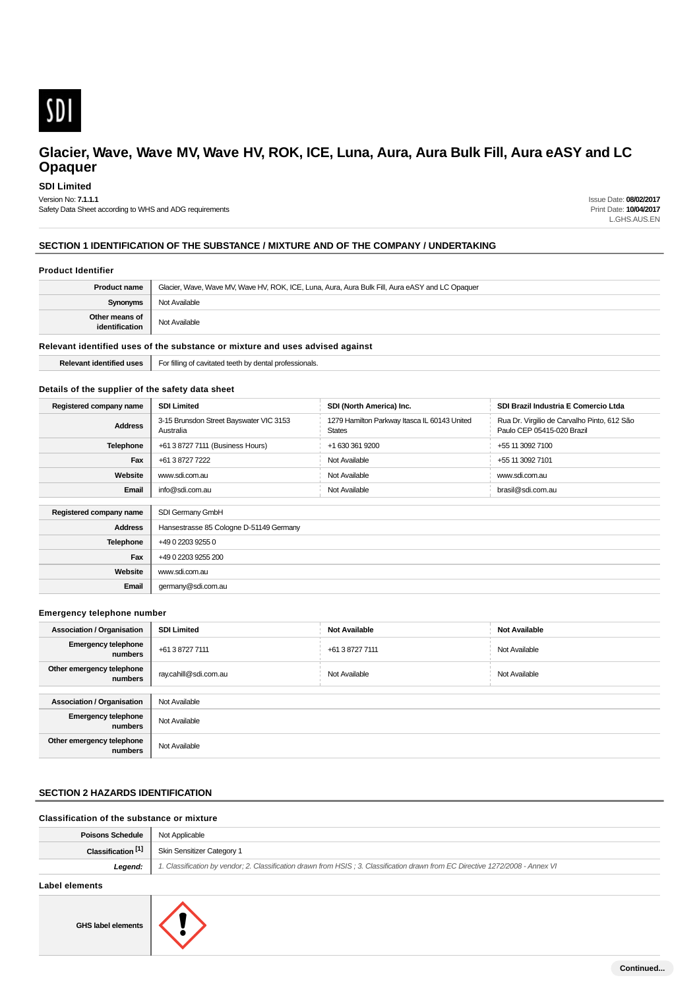

**SDI Limited**

Version No: **7.1.1.1**

Safety Data Sheet according to WHS and ADG requirements

Issue Date: **08/02/2017** Print Date: **10/04/2017** L.GHS.AUS.EN

## **SECTION 1 IDENTIFICATION OF THE SUBSTANCE / MIXTURE AND OF THE COMPANY / UNDERTAKING**

## **Product Identifier**

| <b>Product name</b>                                                           | Glacier, Wave, Wave MV, Wave HV, ROK, ICE, Luna, Aura, Aura Bulk Fill, Aura eASY and LC Opaquer |
|-------------------------------------------------------------------------------|-------------------------------------------------------------------------------------------------|
| Synonyms                                                                      | Not Available                                                                                   |
| Other means of<br>identification                                              | Not Available                                                                                   |
| Relevant identified uses of the substance or mixture and uses advised against |                                                                                                 |

**Relevant identified uses** For filling of cavitated teeth by dental professionals.

#### **Details of the supplier of the safety data sheet**

| Registered company name                     | <b>SDI Limited</b>                                   | SDI (North America) Inc.                                      | SDI Brazil Industria E Comercio Ltda                                      |
|---------------------------------------------|------------------------------------------------------|---------------------------------------------------------------|---------------------------------------------------------------------------|
| <b>Address</b>                              | 3-15 Brunsdon Street Bayswater VIC 3153<br>Australia | 1279 Hamilton Parkway Itasca IL 60143 United<br><b>States</b> | Rua Dr. Virgilio de Carvalho Pinto, 612 São<br>Paulo CEP 05415-020 Brazil |
| <b>Telephone</b>                            | +61 3 8727 7111 (Business Hours)                     | +1 630 361 9200                                               | +55 11 3092 7100                                                          |
| Fax                                         | +61 3 8727 7222                                      | Not Available                                                 | +55 11 3092 7101                                                          |
| Website                                     | www.sdi.com.au                                       | Not Available                                                 | www.sdi.com.au                                                            |
| Email                                       | info@sdi.com.au                                      | Not Available                                                 | brasil@sdi.com.au                                                         |
| SDI Germany GmbH<br>Registered company name |                                                      |                                                               |                                                                           |
|                                             |                                                      |                                                               |                                                                           |
| <b>Address</b>                              | Hansestrasse 85 Cologne D-51149 Germany              |                                                               |                                                                           |
| <b>Telephone</b>                            | +49 0 2203 9255 0                                    |                                                               |                                                                           |
| Fax                                         | +49 0 2203 9255 200                                  |                                                               |                                                                           |
| Website                                     | www.sdi.com.au                                       |                                                               |                                                                           |
| Email                                       | germany@sdi.com.au                                   |                                                               |                                                                           |

#### **Emergency telephone number**

| <b>Association / Organisation</b>     | <b>SDI Limited</b>    | <b>Not Available</b> | <b>Not Available</b> |
|---------------------------------------|-----------------------|----------------------|----------------------|
| <b>Emergency telephone</b><br>numbers | +61 3 8727 7111       | +61 3 8727 7111      | Not Available        |
| Other emergency telephone<br>numbers  | ray.cahill@sdi.com.au | Not Available        | Not Available        |
|                                       |                       |                      |                      |
| <b>Association / Organisation</b>     | Not Available         |                      |                      |
| <b>Emergency telephone</b><br>numbers | Not Available         |                      |                      |
| Other emergency telephone<br>numbers  | Not Available         |                      |                      |

## **SECTION 2 HAZARDS IDENTIFICATION**

## **Classification of the substance or mixture**

| <b>Poisons Schedule</b>       | Not Applicable                                                                                                                 |
|-------------------------------|--------------------------------------------------------------------------------------------------------------------------------|
| Classification <sup>[1]</sup> | <b>Skin Sensitizer Category 1</b>                                                                                              |
| Leaend:                       | 1. Classification by vendor; 2. Classification drawn from HSIS; 3. Classification drawn from EC Directive 1272/2008 - Annex VI |
|                               |                                                                                                                                |

#### **Label elements**

**GHS label elements**

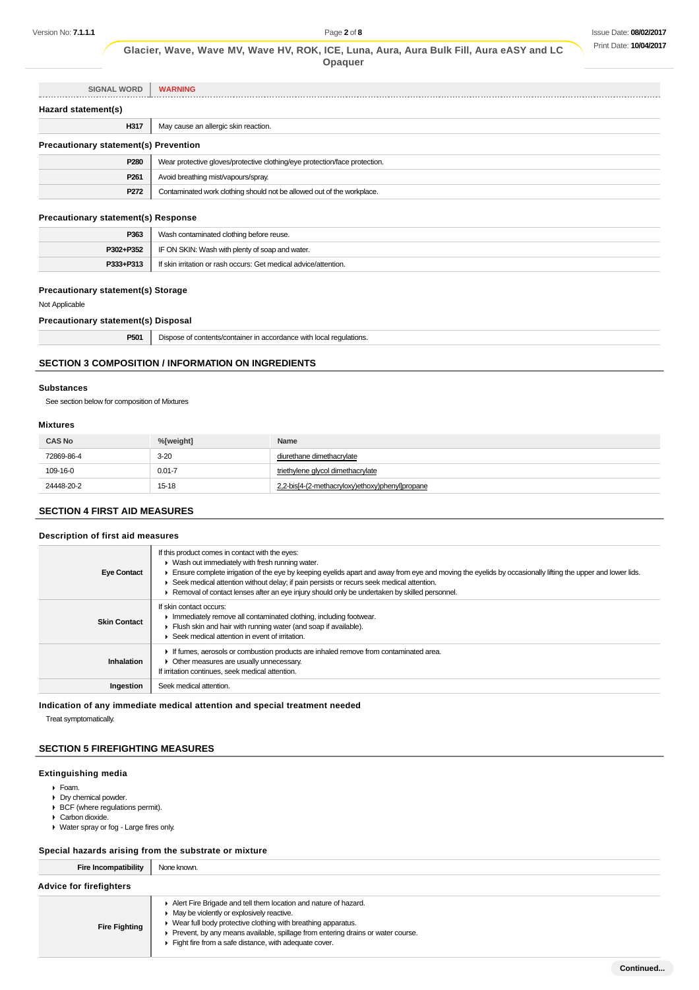| <b>SIGNAL WORD</b>                           | <b>WARNING</b>                                                             |
|----------------------------------------------|----------------------------------------------------------------------------|
| Hazard statement(s)                          |                                                                            |
| H317                                         | May cause an allergic skin reaction.                                       |
| <b>Precautionary statement(s) Prevention</b> |                                                                            |
| P280                                         | Wear protective gloves/protective clothing/eye protection/face protection. |
| P <sub>261</sub>                             | Avoid breathing mist/vapours/spray.                                        |
| P <sub>272</sub>                             | Contaminated work clothing should not be allowed out of the workplace.     |

## **Precautionary statement(s) Response**

| P363      | Wash contaminated clothing before reuse.                         |  |
|-----------|------------------------------------------------------------------|--|
| P302+P352 | IF ON SKIN: Wash with plenty of soap and water.                  |  |
| P333+P313 | If skin irritation or rash occurs: Get medical advice/attention. |  |

## **Precautionary statement(s) Storage**

## Not Applicable

## **Precautionary statement(s) Disposal**

| P501<br>____ | $\cdots$<br>)ISDI<br>with<br>eorganee<br>i redulations.<br>о на<br>.<br>. |
|--------------|---------------------------------------------------------------------------|
|              |                                                                           |

## **SECTION 3 COMPOSITION / INFORMATION ON INGREDIENTS**

#### **Substances**

See section below for composition of Mixtures

#### **Mixtures**

| <b>CAS No</b> | %[weight]  | Name                                            |
|---------------|------------|-------------------------------------------------|
| 72869-86-4    | $3 - 20$   | diurethane dimethacrylate                       |
| 109-16-0      | $0.01 - 7$ | triethylene glycol dimethacrylate               |
| 24448-20-2    | $15-18$    | 2,2-bis[4-(2-methacryloxy)ethoxy)phenyl]propane |

## **SECTION 4 FIRST AID MEASURES**

## **Description of first aid measures**

| <b>Eye Contact</b>  | If this product comes in contact with the eyes:<br>$\triangleright$ Wash out immediately with fresh running water.<br>Ensure complete irrigation of the eye by keeping eyelids apart and away from eye and moving the eyelids by occasionally lifting the upper and lower lids.<br>Seek medical attention without delay; if pain persists or recurs seek medical attention.<br>Removal of contact lenses after an eye injury should only be undertaken by skilled personnel. |
|---------------------|------------------------------------------------------------------------------------------------------------------------------------------------------------------------------------------------------------------------------------------------------------------------------------------------------------------------------------------------------------------------------------------------------------------------------------------------------------------------------|
| <b>Skin Contact</b> | If skin contact occurs:<br>Immediately remove all contaminated clothing, including footwear.<br>Flush skin and hair with running water (and soap if available).<br>Seek medical attention in event of irritation.                                                                                                                                                                                                                                                            |
| Inhalation          | If fumes, aerosols or combustion products are inhaled remove from contaminated area.<br>Other measures are usually unnecessary.<br>If irritation continues, seek medical attention.                                                                                                                                                                                                                                                                                          |
| Ingestion           | Seek medical attention.                                                                                                                                                                                                                                                                                                                                                                                                                                                      |

**Indication of any immediate medical attention and special treatment needed**

Treat symptomatically.

## **SECTION 5 FIREFIGHTING MEASURES**

#### **Extinguishing media**

- Foam.
- **Dry chemical powder.**
- BCF (where regulations permit).
- Carbon dioxide.
- Water spray or fog Large fires only.

#### **Special hazards arising from the substrate or mixture**

| Fire Incompatibility           | None known.                                                                                                                        |  |
|--------------------------------|------------------------------------------------------------------------------------------------------------------------------------|--|
| <b>Advice for firefighters</b> |                                                                                                                                    |  |
|                                | Alert Fire Brigade and tell them location and nature of hazard.<br>$\blacktriangleright$ May be violently or explosively reactive. |  |

- **Fire Fighting** Wear full body protective clothing with breathing apparatus.
	- Prevent, by any means available, spillage from entering drains or water course.
		- Fight fire from a safe distance, with adequate cover.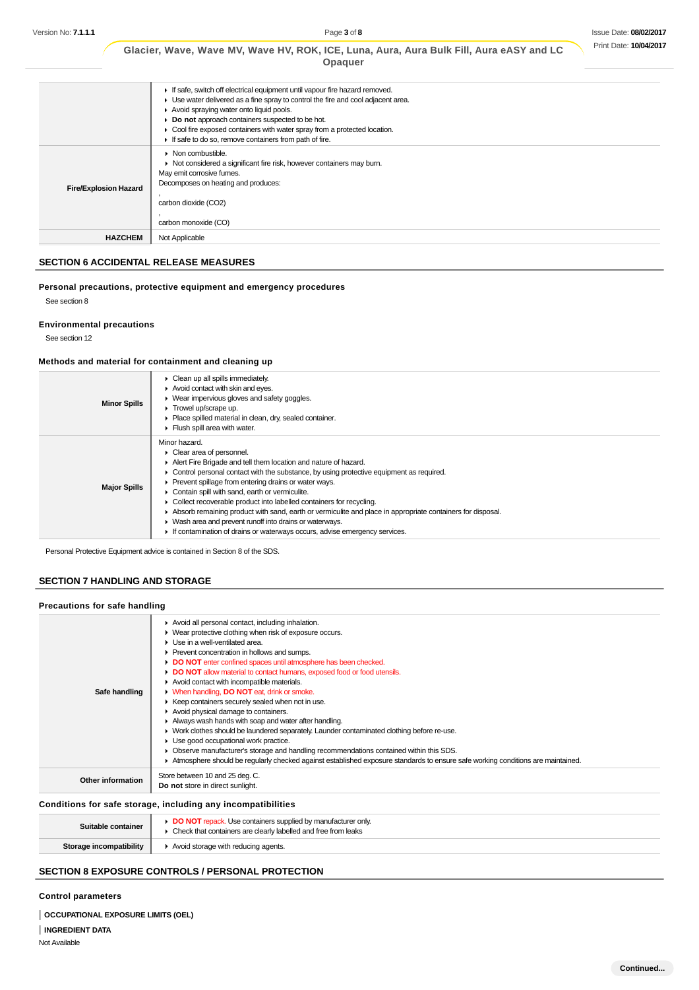|                              | Glacier, Wave, Wave MV, Wave HV, ROK, ICE, Luna, Aura, Aura Bulk Fill, Aura eASY and LC<br>Opaquer                                                                                                                                                                                                                                                                                                      |
|------------------------------|---------------------------------------------------------------------------------------------------------------------------------------------------------------------------------------------------------------------------------------------------------------------------------------------------------------------------------------------------------------------------------------------------------|
|                              | If safe, switch off electrical equipment until vapour fire hazard removed.<br>• Use water delivered as a fine spray to control the fire and cool adjacent area.<br>Avoid spraying water onto liquid pools.<br>• Do not approach containers suspected to be hot.<br>• Cool fire exposed containers with water spray from a protected location.<br>If safe to do so, remove containers from path of fire. |
| <b>Fire/Explosion Hazard</b> | Non combustible.<br>• Not considered a significant fire risk, however containers may burn.<br>May emit corrosive fumes.<br>Decomposes on heating and produces:<br>carbon dioxide (CO2)<br>carbon monoxide (CO)                                                                                                                                                                                          |
| <b>HAZCHEM</b>               | Not Applicable                                                                                                                                                                                                                                                                                                                                                                                          |

## **SECTION 6 ACCIDENTAL RELEASE MEASURES**

**Personal precautions, protective equipment and emergency procedures** See section 8

## **Environmental precautions**

See section 12

## **Methods and material for containment and cleaning up**

| <b>Minor Spills</b> | Clean up all spills immediately.<br>Avoid contact with skin and eyes.<br>• Wear impervious gloves and safety goggles.<br>Trowel up/scrape up.<br>Place spilled material in clean, dry, sealed container.<br>$\blacktriangleright$ Flush spill area with water.                                                                                                                                                                                                                                                                                                                                                                                         |
|---------------------|--------------------------------------------------------------------------------------------------------------------------------------------------------------------------------------------------------------------------------------------------------------------------------------------------------------------------------------------------------------------------------------------------------------------------------------------------------------------------------------------------------------------------------------------------------------------------------------------------------------------------------------------------------|
| <b>Major Spills</b> | Minor hazard.<br>• Clear area of personnel.<br>Alert Fire Brigade and tell them location and nature of hazard.<br>Control personal contact with the substance, by using protective equipment as required.<br>▶ Prevent spillage from entering drains or water ways.<br>• Contain spill with sand, earth or vermiculite.<br>Collect recoverable product into labelled containers for recycling.<br>Absorb remaining product with sand, earth or vermiculite and place in appropriate containers for disposal.<br>• Wash area and prevent runoff into drains or waterways.<br>If contamination of drains or waterways occurs, advise emergency services. |

Personal Protective Equipment advice is contained in Section 8 of the SDS.

## **SECTION 7 HANDLING AND STORAGE**

| Precautions for safe handling |                                                                                                                                                                                                                                                                                                                                                                                                                                                                                                                                                                                                                                                                                                                                                                                                                                                                                                                                                                                                   |
|-------------------------------|---------------------------------------------------------------------------------------------------------------------------------------------------------------------------------------------------------------------------------------------------------------------------------------------------------------------------------------------------------------------------------------------------------------------------------------------------------------------------------------------------------------------------------------------------------------------------------------------------------------------------------------------------------------------------------------------------------------------------------------------------------------------------------------------------------------------------------------------------------------------------------------------------------------------------------------------------------------------------------------------------|
| Safe handling                 | Avoid all personal contact, including inhalation.<br>▶ Wear protective clothing when risk of exposure occurs.<br>$\blacktriangleright$ Use in a well-ventilated area.<br>▶ Prevent concentration in hollows and sumps.<br>DO NOT enter confined spaces until atmosphere has been checked.<br>DO NOT allow material to contact humans, exposed food or food utensils.<br>Avoid contact with incompatible materials.<br>• When handling, DO NOT eat, drink or smoke.<br>▶ Keep containers securely sealed when not in use.<br>Avoid physical damage to containers.<br>Always wash hands with soap and water after handling.<br>• Work clothes should be laundered separately. Launder contaminated clothing before re-use.<br>• Use good occupational work practice.<br>• Observe manufacturer's storage and handling recommendations contained within this SDS.<br>Atmosphere should be regularly checked against established exposure standards to ensure safe working conditions are maintained. |
| <b>Other information</b>      | Store between 10 and 25 deg. C.<br>Do not store in direct sunlight.                                                                                                                                                                                                                                                                                                                                                                                                                                                                                                                                                                                                                                                                                                                                                                                                                                                                                                                               |
|                               | Conditions for safe storage, including any incompatibilities                                                                                                                                                                                                                                                                                                                                                                                                                                                                                                                                                                                                                                                                                                                                                                                                                                                                                                                                      |

| Suitable container      | DO NOT repack. Use containers supplied by manufacturer only.<br>▶ Check that containers are clearly labelled and free from leaks |
|-------------------------|----------------------------------------------------------------------------------------------------------------------------------|
| Storage incompatibility | Avoid storage with reducing agents.                                                                                              |

## **SECTION 8 EXPOSURE CONTROLS / PERSONAL PROTECTION**

## **Control parameters**

**OCCUPATIONAL EXPOSURE LIMITS (OEL)**

**INGREDIENT DATA**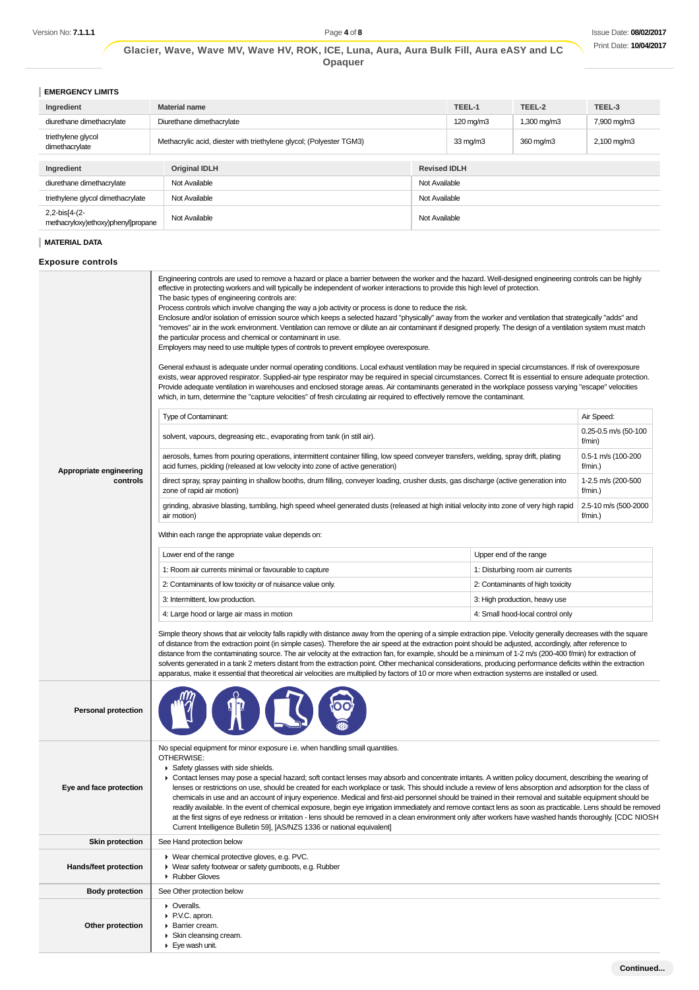**EMERGENCY LIMITS**

| Ingredient                                          | <b>Material name</b>                                                                                                             |                     | TEEL-1             | TEEL-2                  | TEEL-3      |  |  |  |
|-----------------------------------------------------|----------------------------------------------------------------------------------------------------------------------------------|---------------------|--------------------|-------------------------|-------------|--|--|--|
| diurethane dimethacrylate                           | Diurethane dimethacrylate                                                                                                        |                     | $120 \text{ mg/m}$ | $1,300 \,\mathrm{mg/m}$ | 7,900 mg/m3 |  |  |  |
| triethylene glycol<br>dimethacrylate                | Methacrylic acid, diester with triethylene glycol; (Polyester TGM3)<br>$2,100 \,\mathrm{mg/m}$<br>$33 \text{ mg/m}$<br>360 mg/m3 |                     |                    |                         |             |  |  |  |
| Ingredient                                          | <b>Original IDLH</b>                                                                                                             | <b>Revised IDLH</b> |                    |                         |             |  |  |  |
|                                                     |                                                                                                                                  |                     |                    |                         |             |  |  |  |
| diurethane dimethacrylate                           | Not Available                                                                                                                    | Not Available       |                    |                         |             |  |  |  |
| triethylene glycol dimethacrylate                   | Not Available<br>Not Available                                                                                                   |                     |                    |                         |             |  |  |  |
| 2,2-bis[4-(2-<br>methacryloxy)ethoxy)phenyl]propane | Not Available                                                                                                                    | Not Available       |                    |                         |             |  |  |  |

## **MATERIAL DATA**

# **Exposure controls**

|                            | Engineering controls are used to remove a hazard or place a barrier between the worker and the hazard. Well-designed engineering controls can be highly<br>effective in protecting workers and will typically be independent of worker interactions to provide this high level of protection.<br>The basic types of engineering controls are:<br>Process controls which involve changing the way a job activity or process is done to reduce the risk.<br>Enclosure and/or isolation of emission source which keeps a selected hazard "physically" away from the worker and ventilation that strategically "adds" and<br>"removes" air in the work environment. Ventilation can remove or dilute an air contaminant if designed properly. The design of a ventilation system must match<br>the particular process and chemical or contaminant in use.<br>Employers may need to use multiple types of controls to prevent employee overexposure.<br>General exhaust is adequate under normal operating conditions. Local exhaust ventilation may be required in special circumstances. If risk of overexposure<br>exists, wear approved respirator. Supplied-air type respirator may be required in special circumstances. Correct fit is essential to ensure adequate protection.<br>Provide adequate ventilation in warehouses and enclosed storage areas. Air contaminants generated in the workplace possess varying "escape" velocities<br>which, in turn, determine the "capture velocities" of fresh circulating air required to effectively remove the contaminant. |                                  |                                |  |  |  |  |  |  |
|----------------------------|----------------------------------------------------------------------------------------------------------------------------------------------------------------------------------------------------------------------------------------------------------------------------------------------------------------------------------------------------------------------------------------------------------------------------------------------------------------------------------------------------------------------------------------------------------------------------------------------------------------------------------------------------------------------------------------------------------------------------------------------------------------------------------------------------------------------------------------------------------------------------------------------------------------------------------------------------------------------------------------------------------------------------------------------------------------------------------------------------------------------------------------------------------------------------------------------------------------------------------------------------------------------------------------------------------------------------------------------------------------------------------------------------------------------------------------------------------------------------------------------------------------------------------------------------------------------------|----------------------------------|--------------------------------|--|--|--|--|--|--|
|                            | Type of Contaminant:                                                                                                                                                                                                                                                                                                                                                                                                                                                                                                                                                                                                                                                                                                                                                                                                                                                                                                                                                                                                                                                                                                                                                                                                                                                                                                                                                                                                                                                                                                                                                       |                                  | Air Speed:                     |  |  |  |  |  |  |
|                            | solvent, vapours, degreasing etc., evaporating from tank (in still air).                                                                                                                                                                                                                                                                                                                                                                                                                                                                                                                                                                                                                                                                                                                                                                                                                                                                                                                                                                                                                                                                                                                                                                                                                                                                                                                                                                                                                                                                                                   |                                  | 0.25-0.5 m/s (50-100<br>f/min) |  |  |  |  |  |  |
| Appropriate engineering    | aerosols, fumes from pouring operations, intermittent container filling, low speed conveyer transfers, welding, spray drift, plating<br>acid fumes, pickling (released at low velocity into zone of active generation)                                                                                                                                                                                                                                                                                                                                                                                                                                                                                                                                                                                                                                                                                                                                                                                                                                                                                                                                                                                                                                                                                                                                                                                                                                                                                                                                                     |                                  | 0.5-1 m/s (100-200<br>f/min.)  |  |  |  |  |  |  |
| controls                   | direct spray, spray painting in shallow booths, drum filling, conveyer loading, crusher dusts, gas discharge (active generation into<br>zone of rapid air motion)                                                                                                                                                                                                                                                                                                                                                                                                                                                                                                                                                                                                                                                                                                                                                                                                                                                                                                                                                                                                                                                                                                                                                                                                                                                                                                                                                                                                          |                                  | 1-2.5 m/s (200-500<br>f/min.)  |  |  |  |  |  |  |
|                            | grinding, abrasive blasting, tumbling, high speed wheel generated dusts (released at high initial velocity into zone of very high rapid<br>air motion)                                                                                                                                                                                                                                                                                                                                                                                                                                                                                                                                                                                                                                                                                                                                                                                                                                                                                                                                                                                                                                                                                                                                                                                                                                                                                                                                                                                                                     |                                  | 2.5-10 m/s (500-2000<br>f/min. |  |  |  |  |  |  |
|                            | Within each range the appropriate value depends on:                                                                                                                                                                                                                                                                                                                                                                                                                                                                                                                                                                                                                                                                                                                                                                                                                                                                                                                                                                                                                                                                                                                                                                                                                                                                                                                                                                                                                                                                                                                        |                                  |                                |  |  |  |  |  |  |
|                            | Lower end of the range                                                                                                                                                                                                                                                                                                                                                                                                                                                                                                                                                                                                                                                                                                                                                                                                                                                                                                                                                                                                                                                                                                                                                                                                                                                                                                                                                                                                                                                                                                                                                     | Upper end of the range           |                                |  |  |  |  |  |  |
|                            | 1: Room air currents minimal or favourable to capture                                                                                                                                                                                                                                                                                                                                                                                                                                                                                                                                                                                                                                                                                                                                                                                                                                                                                                                                                                                                                                                                                                                                                                                                                                                                                                                                                                                                                                                                                                                      | 1: Disturbing room air currents  |                                |  |  |  |  |  |  |
|                            | 2: Contaminants of low toxicity or of nuisance value only.                                                                                                                                                                                                                                                                                                                                                                                                                                                                                                                                                                                                                                                                                                                                                                                                                                                                                                                                                                                                                                                                                                                                                                                                                                                                                                                                                                                                                                                                                                                 | 2: Contaminants of high toxicity |                                |  |  |  |  |  |  |
|                            | 3: Intermittent, low production.                                                                                                                                                                                                                                                                                                                                                                                                                                                                                                                                                                                                                                                                                                                                                                                                                                                                                                                                                                                                                                                                                                                                                                                                                                                                                                                                                                                                                                                                                                                                           | 3: High production, heavy use    |                                |  |  |  |  |  |  |
|                            | 4: Large hood or large air mass in motion                                                                                                                                                                                                                                                                                                                                                                                                                                                                                                                                                                                                                                                                                                                                                                                                                                                                                                                                                                                                                                                                                                                                                                                                                                                                                                                                                                                                                                                                                                                                  | 4: Small hood-local control only |                                |  |  |  |  |  |  |
|                            | Simple theory shows that air velocity falls rapidly with distance away from the opening of a simple extraction pipe. Velocity generally decreases with the square<br>of distance from the extraction point (in simple cases). Therefore the air speed at the extraction point should be adjusted, accordingly, after reference to<br>distance from the contaminating source. The air velocity at the extraction fan, for example, should be a minimum of 1-2 m/s (200-400 f/min) for extraction of<br>solvents generated in a tank 2 meters distant from the extraction point. Other mechanical considerations, producing performance deficits within the extraction<br>apparatus, make it essential that theoretical air velocities are multiplied by factors of 10 or more when extraction systems are installed or used.                                                                                                                                                                                                                                                                                                                                                                                                                                                                                                                                                                                                                                                                                                                                                |                                  |                                |  |  |  |  |  |  |
| <b>Personal protection</b> |                                                                                                                                                                                                                                                                                                                                                                                                                                                                                                                                                                                                                                                                                                                                                                                                                                                                                                                                                                                                                                                                                                                                                                                                                                                                                                                                                                                                                                                                                                                                                                            |                                  |                                |  |  |  |  |  |  |
|                            | No special equipment for minor exposure i.e. when handling small quantities.<br>OTHERWISE:<br>Safety glasses with side shields.<br>▶ Contact lenses may pose a special hazard; soft contact lenses may absorb and concentrate irritants. A written policy document, describing the wearing of<br>lenses or restrictions on use, should be created for each workplace or task. This should include a review of lens absorption and adsorption for the class of<br>chemicals in use and an account of injury experience. Medical and first-aid personnel should be trained in their removal and suitable equipment should be<br>readily available. In the event of chemical exposure, begin eye irrigation immediately and remove contact lens as soon as practicable. Lens should be removed<br>at the first signs of eye redness or irritation - lens should be removed in a clean environment only after workers have washed hands thoroughly. [CDC NIOSH                                                                                                                                                                                                                                                                                                                                                                                                                                                                                                                                                                                                                 |                                  |                                |  |  |  |  |  |  |
| Eye and face protection    | Current Intelligence Bulletin 59], [AS/NZS 1336 or national equivalent]                                                                                                                                                                                                                                                                                                                                                                                                                                                                                                                                                                                                                                                                                                                                                                                                                                                                                                                                                                                                                                                                                                                                                                                                                                                                                                                                                                                                                                                                                                    |                                  |                                |  |  |  |  |  |  |
| <b>Skin protection</b>     | See Hand protection below                                                                                                                                                                                                                                                                                                                                                                                                                                                                                                                                                                                                                                                                                                                                                                                                                                                                                                                                                                                                                                                                                                                                                                                                                                                                                                                                                                                                                                                                                                                                                  |                                  |                                |  |  |  |  |  |  |
| Hands/feet protection      | ▶ Wear chemical protective gloves, e.g. PVC.<br>▶ Wear safety footwear or safety gumboots, e.g. Rubber<br>Rubber Gloves                                                                                                                                                                                                                                                                                                                                                                                                                                                                                                                                                                                                                                                                                                                                                                                                                                                                                                                                                                                                                                                                                                                                                                                                                                                                                                                                                                                                                                                    |                                  |                                |  |  |  |  |  |  |
| <b>Body protection</b>     | See Other protection below                                                                                                                                                                                                                                                                                                                                                                                                                                                                                                                                                                                                                                                                                                                                                                                                                                                                                                                                                                                                                                                                                                                                                                                                                                                                                                                                                                                                                                                                                                                                                 |                                  |                                |  |  |  |  |  |  |
| Other protection           | • Overalls.<br>▶ P.V.C. apron.<br>• Barrier cream.<br>Skin cleansing cream.<br>$\blacktriangleright$ Eye wash unit.                                                                                                                                                                                                                                                                                                                                                                                                                                                                                                                                                                                                                                                                                                                                                                                                                                                                                                                                                                                                                                                                                                                                                                                                                                                                                                                                                                                                                                                        |                                  |                                |  |  |  |  |  |  |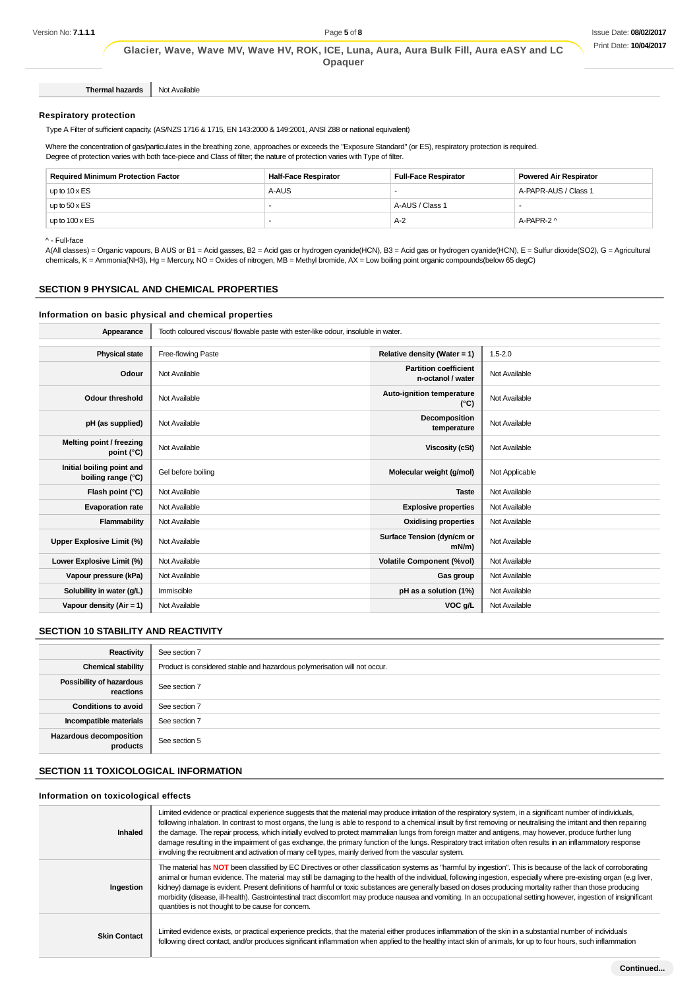**Thermal hazards** Not Available

#### **Respiratory protection**

Type A Filter of sufficient capacity. (AS/NZS 1716 & 1715, EN 143:2000 & 149:2001, ANSI Z88 or national equivalent)

Where the concentration of gas/particulates in the breathing zone, approaches or exceeds the "Exposure Standard" (or ES), respiratory protection is required. Degree of protection varies with both face-piece and Class of filter; the nature of protection varies with Type of filter.

| <b>Required Minimum Protection Factor</b> | <b>Half-Face Respirator</b> | <b>Full-Face Respirator</b> | <b>Powered Air Respirator</b> |  |  |  |
|-------------------------------------------|-----------------------------|-----------------------------|-------------------------------|--|--|--|
| up to $10 \times ES$                      | A-AUS                       |                             | A-PAPR-AUS / Class 1          |  |  |  |
| up to $50 \times ES$                      |                             | A-AUS / Class 1             |                               |  |  |  |
| up to $100 \times ES$                     |                             | $A-2$                       | A-PAPR-2 ^                    |  |  |  |

^ - Full-face

A(All classes) = Organic vapours, B AUS or B1 = Acid gasses, B2 = Acid gas or hydrogen cyanide(HCN), B3 = Acid gas or hydrogen cyanide(HCN), E = Sulfur dioxide(SO2), G = Agricultural chemicals, K = Ammonia(NH3), Hg = Mercury, NO = Oxides of nitrogen, MB = Methyl bromide, AX = Low boiling point organic compounds(below 65 degC)

## **SECTION 9 PHYSICAL AND CHEMICAL PROPERTIES**

## **Information on basic physical and chemical properties**

| Appearance                                      | Tooth coloured viscous/ flowable paste with ester-like odour, insoluble in water. |                                                   |                |  |  |  |  |  |
|-------------------------------------------------|-----------------------------------------------------------------------------------|---------------------------------------------------|----------------|--|--|--|--|--|
|                                                 |                                                                                   |                                                   |                |  |  |  |  |  |
| <b>Physical state</b>                           | Free-flowing Paste                                                                | Relative density (Water = 1)                      | $1.5 - 2.0$    |  |  |  |  |  |
| Odour                                           | Not Available                                                                     | <b>Partition coefficient</b><br>n-octanol / water | Not Available  |  |  |  |  |  |
| <b>Odour threshold</b>                          | Not Available                                                                     | Auto-ignition temperature<br>$(^{\circ}C)$        | Not Available  |  |  |  |  |  |
| pH (as supplied)                                | Not Available                                                                     | <b>Decomposition</b><br>temperature               | Not Available  |  |  |  |  |  |
| Melting point / freezing<br>point (°C)          | Not Available                                                                     | Viscosity (cSt)                                   | Not Available  |  |  |  |  |  |
| Initial boiling point and<br>boiling range (°C) | Gel before boiling                                                                | Molecular weight (g/mol)                          | Not Applicable |  |  |  |  |  |
| Flash point (°C)                                | Not Available                                                                     | <b>Taste</b>                                      | Not Available  |  |  |  |  |  |
| <b>Evaporation rate</b>                         | Not Available                                                                     | <b>Explosive properties</b>                       | Not Available  |  |  |  |  |  |
| Flammability                                    | Not Available                                                                     | <b>Oxidising properties</b>                       | Not Available  |  |  |  |  |  |
| Upper Explosive Limit (%)                       | Not Available                                                                     | Surface Tension (dyn/cm or<br>$mN/m$ )            | Not Available  |  |  |  |  |  |
| Lower Explosive Limit (%)                       | Not Available                                                                     | <b>Volatile Component (%vol)</b>                  | Not Available  |  |  |  |  |  |
| Vapour pressure (kPa)                           | Not Available                                                                     | Gas group                                         | Not Available  |  |  |  |  |  |
| Solubility in water (g/L)                       | Immiscible                                                                        | pH as a solution (1%)                             | Not Available  |  |  |  |  |  |
| Vapour density (Air = 1)                        | Not Available                                                                     | VOC g/L                                           | Not Available  |  |  |  |  |  |

## **SECTION 10 STABILITY AND REACTIVITY**

| Reactivity                                   | See section 7                                                             |
|----------------------------------------------|---------------------------------------------------------------------------|
| <b>Chemical stability</b>                    | Product is considered stable and hazardous polymerisation will not occur. |
| <b>Possibility of hazardous</b><br>reactions | See section 7                                                             |
| <b>Conditions to avoid</b>                   | See section 7                                                             |
| Incompatible materials                       | See section 7                                                             |
| <b>Hazardous decomposition</b><br>products   | See section 5                                                             |

## **SECTION 11 TOXICOLOGICAL INFORMATION**

#### **Information on toxicological effects**

| Inhaled             | Limited evidence or practical experience suggests that the material may produce irritation of the respiratory system, in a significant number of individuals,<br>following inhalation. In contrast to most organs, the lung is able to respond to a chemical insult by first removing or neutralising the irritant and then repairing<br>the damage. The repair process, which initially evolved to protect mammalian lungs from foreign matter and antigens, may however, produce further lung<br>damage resulting in the impairment of gas exchange, the primary function of the lungs. Respiratory tract irritation often results in an inflammatory response<br>involving the recruitment and activation of many cell types, mainly derived from the vascular system. |
|---------------------|---------------------------------------------------------------------------------------------------------------------------------------------------------------------------------------------------------------------------------------------------------------------------------------------------------------------------------------------------------------------------------------------------------------------------------------------------------------------------------------------------------------------------------------------------------------------------------------------------------------------------------------------------------------------------------------------------------------------------------------------------------------------------|
| Ingestion           | The material has NOT been classified by EC Directives or other classification systems as "harmful by ingestion". This is because of the lack of corroborating<br>animal or human evidence. The material may still be damaging to the health of the individual, following ingestion, especially where pre-existing organ (e.g liver,<br>kidney) damage is evident. Present definitions of harmful or toxic substances are generally based on doses producing mortality rather than those producing<br>morbidity (disease, ill-health). Gastrointestinal tract discomfort may produce nausea and vomiting. In an occupational setting however, ingestion of insignificant<br>quantities is not thought to be cause for concern.                                             |
| <b>Skin Contact</b> | Limited evidence exists, or practical experience predicts, that the material either produces inflammation of the skin in a substantial number of individuals<br>following direct contact, and/or produces significant inflammation when applied to the healthy intact skin of animals, for up to four hours, such inflammation                                                                                                                                                                                                                                                                                                                                                                                                                                            |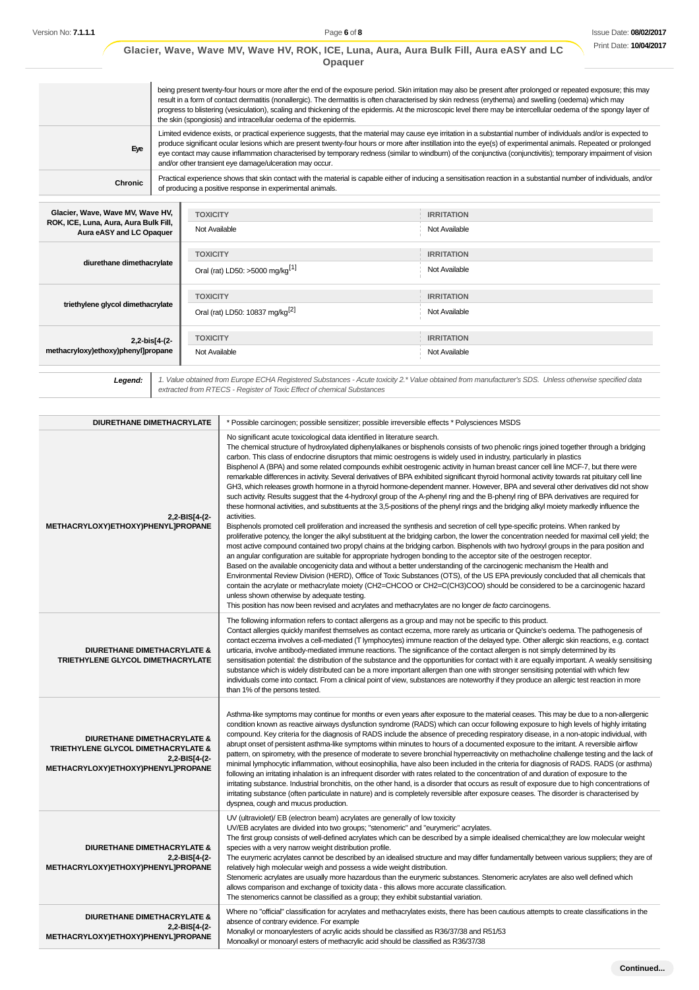|                                                                   |                                                                                                                                                                                                                                                                                                                                                                                                                                                                                                                                                                      | Opaquer                                                   |                                                                                                                                                                      |  |  |  |  |  |  |
|-------------------------------------------------------------------|----------------------------------------------------------------------------------------------------------------------------------------------------------------------------------------------------------------------------------------------------------------------------------------------------------------------------------------------------------------------------------------------------------------------------------------------------------------------------------------------------------------------------------------------------------------------|-----------------------------------------------------------|----------------------------------------------------------------------------------------------------------------------------------------------------------------------|--|--|--|--|--|--|
|                                                                   | being present twenty-four hours or more after the end of the exposure period. Skin irritation may also be present after prolonged or repeated exposure; this may<br>result in a form of contact dermatitis (nonallergic). The dermatitis is often characterised by skin redness (erythema) and swelling (oedema) which may<br>progress to blistering (vesiculation), scaling and thickening of the epidermis. At the microscopic level there may be intercellular oedema of the spongy layer of<br>the skin (spongiosis) and intracellular oedema of the epidermis.  |                                                           |                                                                                                                                                                      |  |  |  |  |  |  |
| Eye                                                               | Limited evidence exists, or practical experience suggests, that the material may cause eye irritation in a substantial number of individuals and/or is expected to<br>produce significant ocular lesions which are present twenty-four hours or more after instillation into the eye(s) of experimental animals. Repeated or prolonged<br>eye contact may cause inflammation characterised by temporary redness (similar to windburn) of the conjunctiva (conjunctivitis); temporary impairment of vision<br>and/or other transient eye damage/ulceration may occur. |                                                           |                                                                                                                                                                      |  |  |  |  |  |  |
| <b>Chronic</b>                                                    |                                                                                                                                                                                                                                                                                                                                                                                                                                                                                                                                                                      | of producing a positive response in experimental animals. | Practical experience shows that skin contact with the material is capable either of inducing a sensitisation reaction in a substantial number of individuals, and/or |  |  |  |  |  |  |
| Glacier, Wave, Wave MV, Wave HV,                                  |                                                                                                                                                                                                                                                                                                                                                                                                                                                                                                                                                                      | <b>TOXICITY</b>                                           | <b>IRRITATION</b>                                                                                                                                                    |  |  |  |  |  |  |
| ROK, ICE, Luna, Aura, Aura Bulk Fill,<br>Aura eASY and LC Opaquer |                                                                                                                                                                                                                                                                                                                                                                                                                                                                                                                                                                      | Not Available                                             | Not Available                                                                                                                                                        |  |  |  |  |  |  |
|                                                                   |                                                                                                                                                                                                                                                                                                                                                                                                                                                                                                                                                                      | <b>TOXICITY</b>                                           | <b>IRRITATION</b>                                                                                                                                                    |  |  |  |  |  |  |
| diurethane dimethacrylate                                         |                                                                                                                                                                                                                                                                                                                                                                                                                                                                                                                                                                      | Oral (rat) LD50: >5000 mg/kg <sup>[1]</sup>               | Not Available                                                                                                                                                        |  |  |  |  |  |  |
|                                                                   |                                                                                                                                                                                                                                                                                                                                                                                                                                                                                                                                                                      | <b>TOXICITY</b>                                           | <b>IRRITATION</b>                                                                                                                                                    |  |  |  |  |  |  |
| triethylene glycol dimethacrylate                                 |                                                                                                                                                                                                                                                                                                                                                                                                                                                                                                                                                                      | Oral (rat) LD50: 10837 mg/kg <sup>[2]</sup>               | Not Available                                                                                                                                                        |  |  |  |  |  |  |
| 2,2-bis[4-(2-                                                     |                                                                                                                                                                                                                                                                                                                                                                                                                                                                                                                                                                      | <b>TOXICITY</b>                                           | <b>IRRITATION</b>                                                                                                                                                    |  |  |  |  |  |  |
| methacryloxy)ethoxy)phenyl]propane                                |                                                                                                                                                                                                                                                                                                                                                                                                                                                                                                                                                                      | Not Available                                             | Not Available                                                                                                                                                        |  |  |  |  |  |  |

**Legend:** 1. Value obtained from Europe ECHA Registered Substances - Acute toxicity 2.\* Value obtained from manufacturer's SDS. Unless otherwise specified data extracted from RTECS - Register of Toxic Effect of chemical Substances

| DIURETHANE DIMETHACRYLATE                                                                                                            | * Possible carcinogen; possible sensitizer; possible irreversible effects * Polysciences MSDS                                                                                                                                                                                                                                                                                                                                                                                                                                                                                                                                                                                                                                                                                                                                                                                                                                                                                                                                                                                                                                                                                                                                                                                                                                                                                                                                                                                                                                                                                                                                                                                                                                                                                                                                                                                                                                                                                                                                                                                                                                                                                                 |
|--------------------------------------------------------------------------------------------------------------------------------------|-----------------------------------------------------------------------------------------------------------------------------------------------------------------------------------------------------------------------------------------------------------------------------------------------------------------------------------------------------------------------------------------------------------------------------------------------------------------------------------------------------------------------------------------------------------------------------------------------------------------------------------------------------------------------------------------------------------------------------------------------------------------------------------------------------------------------------------------------------------------------------------------------------------------------------------------------------------------------------------------------------------------------------------------------------------------------------------------------------------------------------------------------------------------------------------------------------------------------------------------------------------------------------------------------------------------------------------------------------------------------------------------------------------------------------------------------------------------------------------------------------------------------------------------------------------------------------------------------------------------------------------------------------------------------------------------------------------------------------------------------------------------------------------------------------------------------------------------------------------------------------------------------------------------------------------------------------------------------------------------------------------------------------------------------------------------------------------------------------------------------------------------------------------------------------------------------|
| 2,2-BIS[4-(2-<br>METHACRYLOXY)ETHOXY)PHENYLJPROPANE                                                                                  | No significant acute toxicological data identified in literature search.<br>The chemical structure of hydroxylated diphenylalkanes or bisphenols consists of two phenolic rings joined together through a bridging<br>carbon. This class of endocrine disruptors that mimic oestrogens is widely used in industry, particularly in plastics<br>Bisphenol A (BPA) and some related compounds exhibit oestrogenic activity in human breast cancer cell line MCF-7, but there were<br>remarkable differences in activity. Several derivatives of BPA exhibited significant thyroid hormonal activity towards rat pituitary cell line<br>GH3, which releases growth hormone in a thyroid hormone-dependent manner. However, BPA and several other derivatives did not show<br>such activity. Results suggest that the 4-hydroxyl group of the A-phenyl ring and the B-phenyl ring of BPA derivatives are required for<br>these hormonal activities, and substituents at the 3,5-positions of the phenyl rings and the bridging alkyl moiety markedly influence the<br>activities.<br>Bisphenols promoted cell proliferation and increased the synthesis and secretion of cell type-specific proteins. When ranked by<br>proliferative potency, the longer the alkyl substituent at the bridging carbon, the lower the concentration needed for maximal cell yield; the<br>most active compound contained two propyl chains at the bridging carbon. Bisphenols with two hydroxyl groups in the para position and<br>an angular configuration are suitable for appropriate hydrogen bonding to the acceptor site of the oestrogen receptor.<br>Based on the available oncogenicity data and without a better understanding of the carcinogenic mechanism the Health and<br>Environmental Review Division (HERD), Office of Toxic Substances (OTS), of the US EPA previously concluded that all chemicals that<br>contain the acrylate or methacrylate moiety (CH2=CHCOO or CH2=C(CH3)COO) should be considered to be a carcinogenic hazard<br>unless shown otherwise by adequate testing.<br>This position has now been revised and acrylates and methacrylates are no longer de facto carcinogens. |
| <b>DIURETHANE DIMETHACRYLATE &amp;</b><br>TRIETHYLENE GLYCOL DIMETHACRYLATE                                                          | The following information refers to contact allergens as a group and may not be specific to this product.<br>Contact allergies quickly manifest themselves as contact eczema, more rarely as urticaria or Quincke's oedema. The pathogenesis of<br>contact eczema involves a cell-mediated (T lymphocytes) immune reaction of the delayed type. Other allergic skin reactions, e.g. contact<br>urticaria, involve antibody-mediated immune reactions. The significance of the contact allergen is not simply determined by its<br>sensitisation potential: the distribution of the substance and the opportunities for contact with it are equally important. A weakly sensitising<br>substance which is widely distributed can be a more important allergen than one with stronger sensitising potential with which few<br>individuals come into contact. From a clinical point of view, substances are noteworthy if they produce an allergic test reaction in more<br>than 1% of the persons tested.                                                                                                                                                                                                                                                                                                                                                                                                                                                                                                                                                                                                                                                                                                                                                                                                                                                                                                                                                                                                                                                                                                                                                                                       |
| <b>DIURETHANE DIMETHACRYLATE &amp;</b><br>TRIETHYLENE GLYCOL DIMETHACRYLATE &<br>2,2-BIS[4-(2-<br>METHACRYLOXY)ETHOXY)PHENYLJPROPANE | Asthma-like symptoms may continue for months or even years after exposure to the material ceases. This may be due to a non-allergenic<br>condition known as reactive airways dysfunction syndrome (RADS) which can occur following exposure to high levels of highly irritating<br>compound. Key criteria for the diagnosis of RADS include the absence of preceding respiratory disease, in a non-atopic individual, with<br>abrupt onset of persistent asthma-like symptoms within minutes to hours of a documented exposure to the irritant. A reversible airflow<br>pattern, on spirometry, with the presence of moderate to severe bronchial hyperreactivity on methacholine challenge testing and the lack of<br>minimal lymphocytic inflammation, without eosinophilia, have also been included in the criteria for diagnosis of RADS. RADS (or asthma)<br>following an irritating inhalation is an infrequent disorder with rates related to the concentration of and duration of exposure to the<br>irritating substance. Industrial bronchitis, on the other hand, is a disorder that occurs as result of exposure due to high concentrations of<br>irritating substance (often particulate in nature) and is completely reversible after exposure ceases. The disorder is characterised by<br>dyspnea, cough and mucus production.                                                                                                                                                                                                                                                                                                                                                                                                                                                                                                                                                                                                                                                                                                                                                                                                                                                 |
| <b>DIURETHANE DIMETHACRYLATE &amp;</b><br>2,2-BIS[4-(2-<br>METHACRYLOXY)ETHOXY)PHENYL]PROPANE                                        | UV (ultraviolet)/ EB (electron beam) acrylates are generally of low toxicity<br>UV/EB acrylates are divided into two groups; "stenomeric" and "eurymeric" acrylates.<br>The first group consists of well-defined acrylates which can be described by a simple idealised chemical; they are low molecular weight<br>species with a very narrow weight distribution profile.<br>The eurymeric acrylates cannot be described by an idealised structure and may differ fundamentally between various suppliers; they are of<br>relatively high molecular weigh and possess a wide weight distribution.<br>Stenomeric acrylates are usually more hazardous than the eurymeric substances. Stenomeric acrylates are also well defined which<br>allows comparison and exchange of toxicity data - this allows more accurate classification.<br>The stenomerics cannot be classified as a group; they exhibit substantial variation.                                                                                                                                                                                                                                                                                                                                                                                                                                                                                                                                                                                                                                                                                                                                                                                                                                                                                                                                                                                                                                                                                                                                                                                                                                                                  |
| <b>DIURETHANE DIMETHACRYLATE &amp;</b><br>2,2-BIS[4-(2-<br>METHACRYLOXY)ETHOXY)PHENYL]PROPANE                                        | Where no "official" classification for acrylates and methacrylates exists, there has been cautious attempts to create classifications in the<br>absence of contrary evidence. For example<br>Monalkyl or monoarylesters of acrylic acids should be classified as R36/37/38 and R51/53<br>Monoalkyl or monoaryl esters of methacrylic acid should be classified as R36/37/38                                                                                                                                                                                                                                                                                                                                                                                                                                                                                                                                                                                                                                                                                                                                                                                                                                                                                                                                                                                                                                                                                                                                                                                                                                                                                                                                                                                                                                                                                                                                                                                                                                                                                                                                                                                                                   |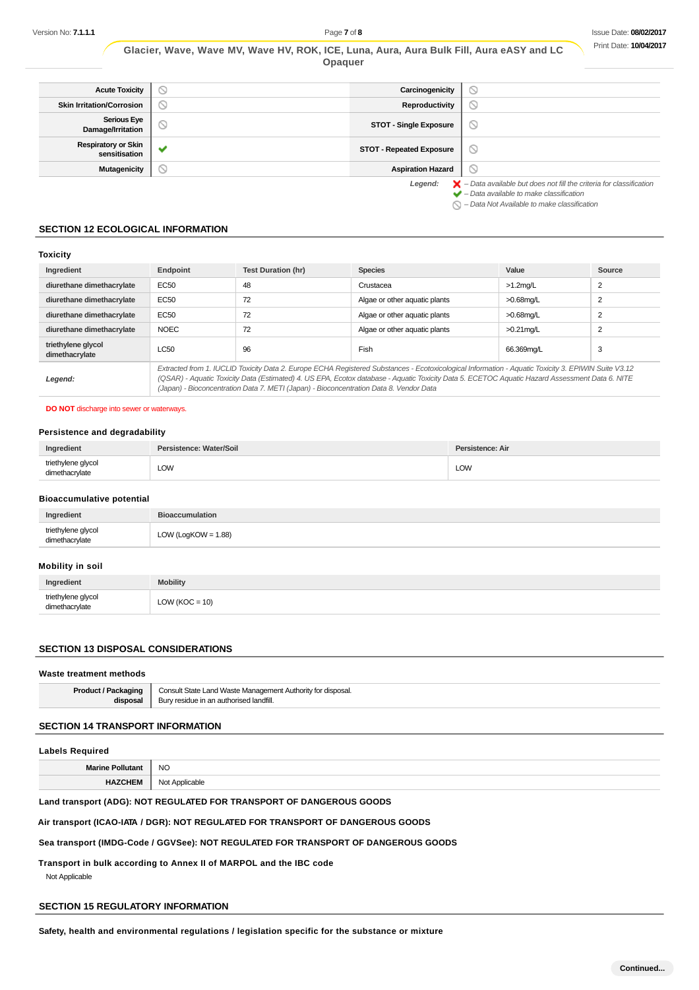|  | Glacier, Wave, Wave MV, Wave HV, ROK, ICE, Luna, Aura, Aura Bulk Fill, Aura eASY and LC |  |         |  |  |  |  |  |
|--|-----------------------------------------------------------------------------------------|--|---------|--|--|--|--|--|
|  |                                                                                         |  | Opaquer |  |  |  |  |  |

| <b>Acute Toxicity</b>                       | Y | Carcinogenicity                 | $\circ$                                                                                                                                                   |
|---------------------------------------------|---|---------------------------------|-----------------------------------------------------------------------------------------------------------------------------------------------------------|
| <b>Skin Irritation/Corrosion</b>            | D | Reproductivity                  | $\circ$                                                                                                                                                   |
| <b>Serious Eye</b><br>Damage/Irritation     | Y | <b>STOT - Single Exposure</b>   | $\odot$                                                                                                                                                   |
| <b>Respiratory or Skin</b><br>sensitisation |   | <b>STOT - Repeated Exposure</b> | $\circ$                                                                                                                                                   |
| <b>Mutagenicity</b>                         |   | <b>Aspiration Hazard</b>        | $\circlearrowright$                                                                                                                                       |
|                                             |   | Legend:                         | $\blacktriangleright$ - Data available but does not fill the criteria for classification<br>$\blacktriangleright$ - Data available to make classification |

 $\bigcirc$  – Data Not Available to make classification

## **SECTION 12 ECOLOGICAL INFORMATION**

## **Toxicity**

| Ingredient                           | Endpoint                                                                                                                                                                                                                                                                                                                                                                                        | <b>Test Duration (hr)</b> | <b>Species</b>                | Value        | Source         |
|--------------------------------------|-------------------------------------------------------------------------------------------------------------------------------------------------------------------------------------------------------------------------------------------------------------------------------------------------------------------------------------------------------------------------------------------------|---------------------------|-------------------------------|--------------|----------------|
| diurethane dimethacrylate            | EC50                                                                                                                                                                                                                                                                                                                                                                                            | 48                        | Crustacea                     | $>1.2$ mg/L  | 2              |
| diurethane dimethacrylate            | EC50                                                                                                                                                                                                                                                                                                                                                                                            | 72                        | Algae or other aquatic plants | $>0.68$ mg/L | $\overline{2}$ |
| diurethane dimethacrylate            | EC50                                                                                                                                                                                                                                                                                                                                                                                            | 72                        | Algae or other aquatic plants | $>0.68$ mg/L | $\overline{2}$ |
| diurethane dimethacrylate            | <b>NOEC</b>                                                                                                                                                                                                                                                                                                                                                                                     | 72                        | Algae or other aquatic plants | $>0.21$ mg/L | $\overline{2}$ |
| triethylene glycol<br>dimethacrylate | <b>LC50</b>                                                                                                                                                                                                                                                                                                                                                                                     | 96                        | <b>Fish</b>                   | 66.369mg/L   | 3              |
| Legend:                              | Extracted from 1. IUCLID Toxicity Data 2. Europe ECHA Registered Substances - Ecotoxicological Information - Aquatic Toxicity 3. EPIWIN Suite V3.12<br>(QSAR) - Aquatic Toxicity Data (Estimated) 4. US EPA, Ecotox database - Aquatic Toxicity Data 5. ECETOC Aquatic Hazard Assessment Data 6. NITE<br>(Japan) - Bioconcentration Data 7. METI (Japan) - Bioconcentration Data 8. Vendor Data |                           |                               |              |                |

#### **DO NOT** discharge into sewer or waterways.

## **Persistence and degradability**

| Ingredient                           | /Soil<br>. | Persistence: Air |
|--------------------------------------|------------|------------------|
| triethylene glycol<br>dimethacrylate | LOW        | <b>LOW</b>       |

#### **Bioaccumulative potential**

| Ingredient                           | <b>Biogecumulation</b>                |
|--------------------------------------|---------------------------------------|
| triethylene glycol<br>dimethacrylate | $V$ (LogKOW = 1.88)<br>$\bigcap$<br>◡ |

## **Mobility in soil**

| Ingredient                           | <b>Mobility</b>  |
|--------------------------------------|------------------|
| triethylene glycol<br>dimethacrylate | $LOW (KOC = 10)$ |

## **SECTION 13 DISPOSAL CONSIDERATIONS**

#### **Waste treatment methods**

| <b>Product / Packaging</b> | Consult State Land Waste Management Authority for disposal.<br>Bury residue in an authorised landfill. |
|----------------------------|--------------------------------------------------------------------------------------------------------|
|                            |                                                                                                        |

## **SECTION 14 TRANSPORT INFORMATION**

## **Labels Required**

| <b>Marine</b> | <b>NC</b>                |
|---------------|--------------------------|
| .             | __                       |
| .<br>. .      | N∩<br>∼able<br>Anni<br>. |

## **Land transport (ADG): NOT REGULATED FOR TRANSPORT OF DANGEROUS GOODS**

## **Air transport (ICAO-IATA / DGR): NOT REGULATED FOR TRANSPORT OF DANGEROUS GOODS**

## **Sea transport (IMDG-Code / GGVSee): NOT REGULATED FOR TRANSPORT OF DANGEROUS GOODS**

## **Transport in bulk according to Annex II of MARPOL and the IBC code**

Not Applicable

## **SECTION 15 REGULATORY INFORMATION**